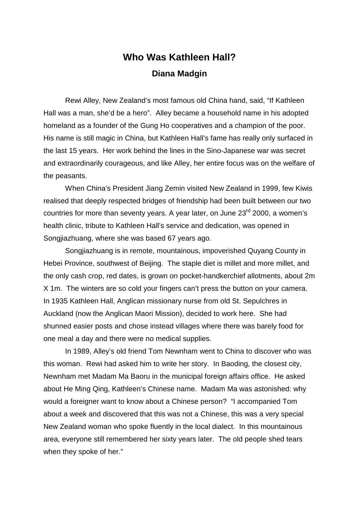## **Who Was Kathleen Hall? Diana Madgin**

 Rewi Alley, New Zealand's most famous old China hand, said, "If Kathleen Hall was a man, she'd be a hero". Alley became a household name in his adopted homeland as a founder of the Gung Ho cooperatives and a champion of the poor. His name is still magic in China, but Kathleen Hall's fame has really only surfaced in the last 15 years. Her work behind the lines in the Sino-Japanese war was secret and extraordinarily courageous, and like Alley, her entire focus was on the welfare of the peasants.

 When China's President Jiang Zemin visited New Zealand in 1999, few Kiwis realised that deeply respected bridges of friendship had been built between our two countries for more than seventy years. A year later, on June 23<sup>rd</sup> 2000, a women's health clinic, tribute to Kathleen Hall's service and dedication, was opened in Songjiazhuang, where she was based 67 years ago.

 Songjiazhuang is in remote, mountainous, impoverished Quyang County in Hebei Province, southwest of Beijing. The staple diet is millet and more millet, and the only cash crop, red dates, is grown on pocket-handkerchief allotments, about 2m X 1m. The winters are so cold your fingers can't press the button on your camera. In 1935 Kathleen Hall, Anglican missionary nurse from old St. Sepulchres in Auckland (now the Anglican Maori Mission), decided to work here. She had shunned easier posts and chose instead villages where there was barely food for one meal a day and there were no medical supplies.

 In 1989, Alley's old friend Tom Newnham went to China to discover who was this woman. Rewi had asked him to write her story. In Baoding, the closest city, Newnham met Madam Ma Baoru in the municipal foreign affairs office. He asked about He Ming Qing, Kathleen's Chinese name. Madam Ma was astonished: why would a foreigner want to know about a Chinese person? "I accompanied Tom about a week and discovered that this was not a Chinese, this was a very special New Zealand woman who spoke fluently in the local dialect. In this mountainous area, everyone still remembered her sixty years later. The old people shed tears when they spoke of her."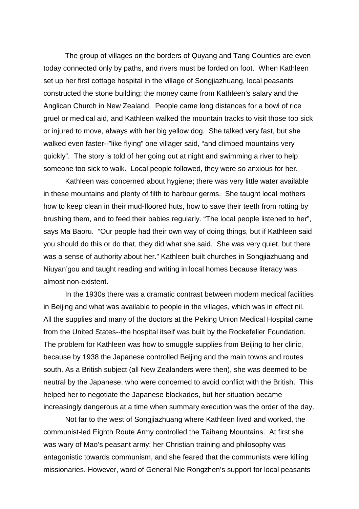The group of villages on the borders of Quyang and Tang Counties are even today connected only by paths, and rivers must be forded on foot. When Kathleen set up her first cottage hospital in the village of Songjiazhuang, local peasants constructed the stone building; the money came from Kathleen's salary and the Anglican Church in New Zealand. People came long distances for a bowl of rice gruel or medical aid, and Kathleen walked the mountain tracks to visit those too sick or injured to move, always with her big yellow dog. She talked very fast, but she walked even faster--"like flying" one villager said, "and climbed mountains very quickly". The story is told of her going out at night and swimming a river to help someone too sick to walk. Local people followed, they were so anxious for her.

 Kathleen was concerned about hygiene; there was very little water available in these mountains and plenty of filth to harbour germs. She taught local mothers how to keep clean in their mud-floored huts, how to save their teeth from rotting by brushing them, and to feed their babies regularly. "The local people listened to her", says Ma Baoru. "Our people had their own way of doing things, but if Kathleen said you should do this or do that, they did what she said. She was very quiet, but there was a sense of authority about her." Kathleen built churches in Songjiazhuang and Niuyan'gou and taught reading and writing in local homes because literacy was almost non-existent.

 In the 1930s there was a dramatic contrast between modern medical facilities in Beijing and what was available to people in the villages, which was in effect nil. All the supplies and many of the doctors at the Peking Union Medical Hospital came from the United States--the hospital itself was built by the Rockefeller Foundation. The problem for Kathleen was how to smuggle supplies from Beijing to her clinic, because by 1938 the Japanese controlled Beijing and the main towns and routes south. As a British subject (all New Zealanders were then), she was deemed to be neutral by the Japanese, who were concerned to avoid conflict with the British. This helped her to negotiate the Japanese blockades, but her situation became increasingly dangerous at a time when summary execution was the order of the day.

 Not far to the west of Songjiazhuang where Kathleen lived and worked, the communist-led Eighth Route Army controlled the Taihang Mountains. At first she was wary of Mao's peasant army: her Christian training and philosophy was antagonistic towards communism, and she feared that the communists were killing missionaries. However, word of General Nie Rongzhen's support for local peasants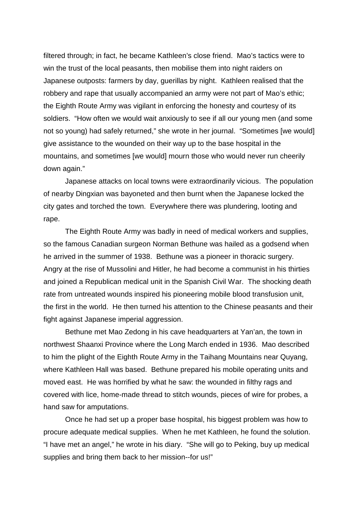filtered through; in fact, he became Kathleen's close friend. Mao's tactics were to win the trust of the local peasants, then mobilise them into night raiders on Japanese outposts: farmers by day, guerillas by night. Kathleen realised that the robbery and rape that usually accompanied an army were not part of Mao's ethic; the Eighth Route Army was vigilant in enforcing the honesty and courtesy of its soldiers. "How often we would wait anxiously to see if all our young men (and some not so young) had safely returned," she wrote in her journal. "Sometimes [we would] give assistance to the wounded on their way up to the base hospital in the mountains, and sometimes [we would] mourn those who would never run cheerily down again."

 Japanese attacks on local towns were extraordinarily vicious. The population of nearby Dingxian was bayoneted and then burnt when the Japanese locked the city gates and torched the town. Everywhere there was plundering, looting and rape.

 The Eighth Route Army was badly in need of medical workers and supplies, so the famous Canadian surgeon Norman Bethune was hailed as a godsend when he arrived in the summer of 1938. Bethune was a pioneer in thoracic surgery. Angry at the rise of Mussolini and Hitler, he had become a communist in his thirties and joined a Republican medical unit in the Spanish Civil War. The shocking death rate from untreated wounds inspired his pioneering mobile blood transfusion unit, the first in the world. He then turned his attention to the Chinese peasants and their fight against Japanese imperial aggression.

 Bethune met Mao Zedong in his cave headquarters at Yan'an, the town in northwest Shaanxi Province where the Long March ended in 1936. Mao described to him the plight of the Eighth Route Army in the Taihang Mountains near Quyang, where Kathleen Hall was based. Bethune prepared his mobile operating units and moved east. He was horrified by what he saw: the wounded in filthy rags and covered with lice, home-made thread to stitch wounds, pieces of wire for probes, a hand saw for amputations.

 Once he had set up a proper base hospital, his biggest problem was how to procure adequate medical supplies. When he met Kathleen, he found the solution. "I have met an angel," he wrote in his diary. "She will go to Peking, buy up medical supplies and bring them back to her mission--for us!"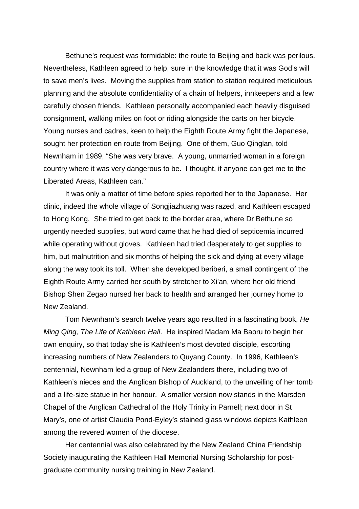Bethune's request was formidable: the route to Beijing and back was perilous. Nevertheless, Kathleen agreed to help, sure in the knowledge that it was God's will to save men's lives. Moving the supplies from station to station required meticulous planning and the absolute confidentiality of a chain of helpers, innkeepers and a few carefully chosen friends. Kathleen personally accompanied each heavily disguised consignment, walking miles on foot or riding alongside the carts on her bicycle. Young nurses and cadres, keen to help the Eighth Route Army fight the Japanese, sought her protection en route from Beijing. One of them, Guo Qinglan, told Newnham in 1989, "She was very brave. A young, unmarried woman in a foreign country where it was very dangerous to be. I thought, if anyone can get me to the Liberated Areas, Kathleen can."

 It was only a matter of time before spies reported her to the Japanese. Her clinic, indeed the whole village of Songjiazhuang was razed, and Kathleen escaped to Hong Kong. She tried to get back to the border area, where Dr Bethune so urgently needed supplies, but word came that he had died of septicemia incurred while operating without gloves. Kathleen had tried desperately to get supplies to him, but malnutrition and six months of helping the sick and dying at every village along the way took its toll. When she developed beriberi, a small contingent of the Eighth Route Army carried her south by stretcher to Xi'an, where her old friend Bishop Shen Zegao nursed her back to health and arranged her journey home to New Zealand.

 Tom Newnham's search twelve years ago resulted in a fascinating book, He Ming Qing, The Life of Kathleen Hall. He inspired Madam Ma Baoru to begin her own enquiry, so that today she is Kathleen's most devoted disciple, escorting increasing numbers of New Zealanders to Quyang County. In 1996, Kathleen's centennial, Newnham led a group of New Zealanders there, including two of Kathleen's nieces and the Anglican Bishop of Auckland, to the unveiling of her tomb and a life-size statue in her honour. A smaller version now stands in the Marsden Chapel of the Anglican Cathedral of the Holy Trinity in Parnell; next door in St Mary's, one of artist Claudia Pond-Eyley's stained glass windows depicts Kathleen among the revered women of the diocese.

 Her centennial was also celebrated by the New Zealand China Friendship Society inaugurating the Kathleen Hall Memorial Nursing Scholarship for postgraduate community nursing training in New Zealand.